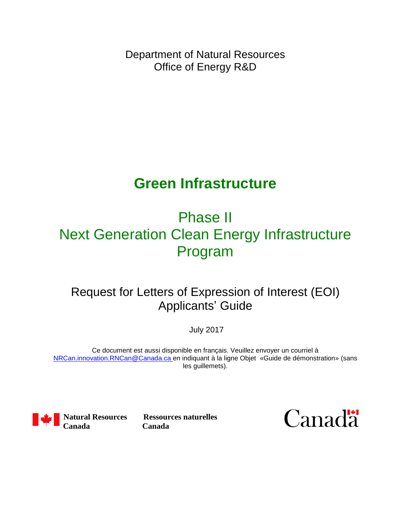Department of Natural Resources Office of Energy R&D

# **Green Infrastructure**

# Phase II Next Generation Clean Energy Infrastructure Program

## Request for Letters of Expression of Interest (EOI) Applicants' Guide

July 2017

Ce document est aussi disponible en français. Veuillez envoyer un courriel à [NRCan.innovation.RNCan@Canada.ca](mailto:nrcan.innovation.rncan@canada.ca?subject=Next%20Generation%20Clean%20Energy%20Infrastructure:%20) en indiquant à la ligne Objet «Guide de démonstration» (sans les guillemets).



**Canada Canada**

**Natural Resources Ressources naturelles**

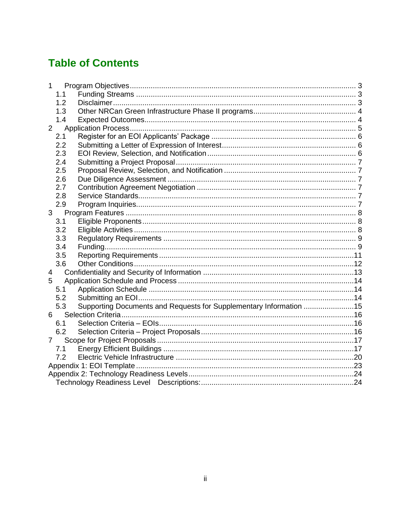## **Table of Contents**

| 1              |     |                                                                    |  |  |  |  |
|----------------|-----|--------------------------------------------------------------------|--|--|--|--|
|                | 1.1 |                                                                    |  |  |  |  |
|                | 1.2 |                                                                    |  |  |  |  |
|                | 1.3 |                                                                    |  |  |  |  |
|                | 1.4 |                                                                    |  |  |  |  |
| $\overline{2}$ |     |                                                                    |  |  |  |  |
|                | 2.1 |                                                                    |  |  |  |  |
|                | 2.2 |                                                                    |  |  |  |  |
|                | 2.3 |                                                                    |  |  |  |  |
|                | 2.4 |                                                                    |  |  |  |  |
|                | 2.5 |                                                                    |  |  |  |  |
|                | 2.6 |                                                                    |  |  |  |  |
|                | 2.7 |                                                                    |  |  |  |  |
|                | 2.8 |                                                                    |  |  |  |  |
|                | 2.9 |                                                                    |  |  |  |  |
| 3              |     |                                                                    |  |  |  |  |
|                | 3.1 |                                                                    |  |  |  |  |
|                | 3.2 |                                                                    |  |  |  |  |
|                | 3.3 |                                                                    |  |  |  |  |
|                | 3.4 |                                                                    |  |  |  |  |
|                | 3.5 |                                                                    |  |  |  |  |
|                | 3.6 |                                                                    |  |  |  |  |
| 4              |     |                                                                    |  |  |  |  |
| 5              |     |                                                                    |  |  |  |  |
|                | 5.1 |                                                                    |  |  |  |  |
|                | 5.2 |                                                                    |  |  |  |  |
|                | 5.3 | Supporting Documents and Requests for Supplementary Information 15 |  |  |  |  |
| 6              |     |                                                                    |  |  |  |  |
|                | 6.1 |                                                                    |  |  |  |  |
|                | 6.2 |                                                                    |  |  |  |  |
| $\overline{7}$ |     |                                                                    |  |  |  |  |
|                | 7.1 |                                                                    |  |  |  |  |
|                | 7.2 |                                                                    |  |  |  |  |
|                |     |                                                                    |  |  |  |  |
|                |     |                                                                    |  |  |  |  |
|                |     |                                                                    |  |  |  |  |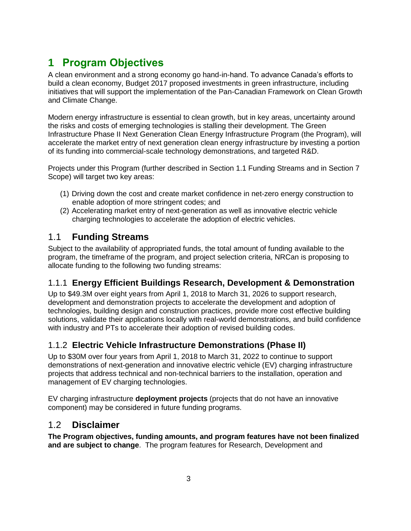## <span id="page-2-0"></span>**1 Program Objectives**

A clean environment and a strong economy go hand-in-hand. To advance Canada's efforts to build a clean economy, Budget 2017 proposed investments in green infrastructure, including initiatives that will support the implementation of the Pan-Canadian Framework on Clean Growth and Climate Change.

Modern energy infrastructure is essential to clean growth, but in key areas, uncertainty around the risks and costs of emerging technologies is stalling their development. The Green Infrastructure Phase II Next Generation Clean Energy Infrastructure Program (the Program), will accelerate the market entry of next generation clean energy infrastructure by investing a portion of its funding into commercial-scale technology demonstrations, and targeted R&D.

Projects under this Program (further described in Section 1.1 Funding Streams and in Section 7 Scope) will target two key areas:

- (1) Driving down the cost and create market confidence in net-zero energy construction to enable adoption of more stringent codes; and
- (2) Accelerating market entry of next-generation as well as innovative electric vehicle charging technologies to accelerate the adoption of electric vehicles.

## <span id="page-2-1"></span>1.1 **Funding Streams**

Subject to the availability of appropriated funds, the total amount of funding available to the program, the timeframe of the program, and project selection criteria, NRCan is proposing to allocate funding to the following two funding streams:

#### 1.1.1 **Energy Efficient Buildings Research, Development & Demonstration**

Up to \$49.3M over eight years from April 1, 2018 to March 31, 2026 to support research, development and demonstration projects to accelerate the development and adoption of technologies, building design and construction practices, provide more cost effective building solutions, validate their applications locally with real-world demonstrations, and build confidence with industry and PTs to accelerate their adoption of revised building codes.

## 1.1.2 **Electric Vehicle Infrastructure Demonstrations (Phase II)**

Up to \$30M over four years from April 1, 2018 to March 31, 2022 to continue to support demonstrations of next-generation and innovative electric vehicle (EV) charging infrastructure projects that address technical and non-technical barriers to the installation, operation and management of EV charging technologies.

EV charging infrastructure **deployment projects** (projects that do not have an innovative component) may be considered in future funding programs.

## <span id="page-2-2"></span>1.2 **Disclaimer**

**The Program objectives, funding amounts, and program features have not been finalized and are subject to change**. The program features for Research, Development and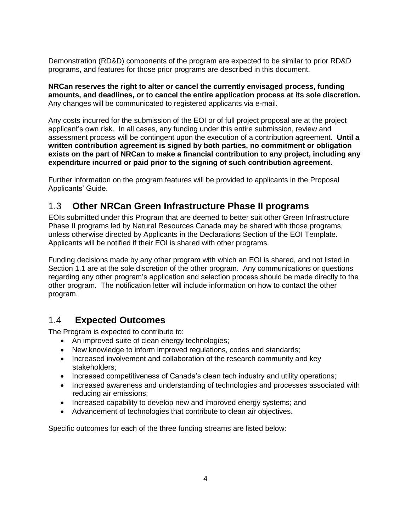Demonstration (RD&D) components of the program are expected to be similar to prior RD&D programs, and features for those prior programs are described in this document.

**NRCan reserves the right to alter or cancel the currently envisaged process, funding amounts, and deadlines, or to cancel the entire application process at its sole discretion.**  Any changes will be communicated to registered applicants via e-mail.

Any costs incurred for the submission of the EOI or of full project proposal are at the project applicant's own risk. In all cases, any funding under this entire submission, review and assessment process will be contingent upon the execution of a contribution agreement. **Until a written contribution agreement is signed by both parties, no commitment or obligation exists on the part of NRCan to make a financial contribution to any project, including any expenditure incurred or paid prior to the signing of such contribution agreement.**

Further information on the program features will be provided to applicants in the Proposal Applicants' Guide.

#### <span id="page-3-0"></span>1.3 **Other NRCan Green Infrastructure Phase II programs**

EOIs submitted under this Program that are deemed to better suit other Green Infrastructure Phase II programs led by Natural Resources Canada may be shared with those programs, unless otherwise directed by Applicants in the Declarations Section of the EOI Template. Applicants will be notified if their EOI is shared with other programs.

Funding decisions made by any other program with which an EOI is shared, and not listed in Section 1.1 are at the sole discretion of the other program. Any communications or questions regarding any other program's application and selection process should be made directly to the other program. The notification letter will include information on how to contact the other program.

#### <span id="page-3-1"></span>1.4 **Expected Outcomes**

The Program is expected to contribute to:

- An improved suite of clean energy technologies;
- New knowledge to inform improved regulations, codes and standards;
- Increased involvement and collaboration of the research community and key stakeholders;
- Increased competitiveness of Canada's clean tech industry and utility operations;
- Increased awareness and understanding of technologies and processes associated with reducing air emissions;
- Increased capability to develop new and improved energy systems; and
- Advancement of technologies that contribute to clean air objectives.

Specific outcomes for each of the three funding streams are listed below: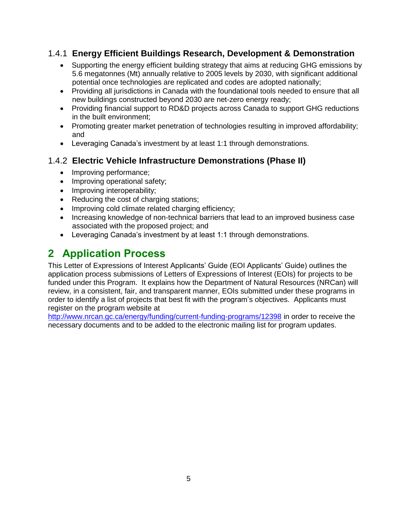#### 1.4.1 **Energy Efficient Buildings Research, Development & Demonstration**

- Supporting the energy efficient building strategy that aims at reducing GHG emissions by 5.6 megatonnes (Mt) annually relative to 2005 levels by 2030, with significant additional potential once technologies are replicated and codes are adopted nationally;
- Providing all jurisdictions in Canada with the foundational tools needed to ensure that all new buildings constructed beyond 2030 are net-zero energy ready;
- Providing financial support to RD&D projects across Canada to support GHG reductions in the built environment;
- Promoting greater market penetration of technologies resulting in improved affordability; and
- Leveraging Canada's investment by at least 1:1 through demonstrations.

#### 1.4.2 **Electric Vehicle Infrastructure Demonstrations (Phase II)**

- Improving performance;
- Improving operational safety;
- Improving interoperability;
- Reducing the cost of charging stations;
- Improving cold climate related charging efficiency;
- Increasing knowledge of non-technical barriers that lead to an improved business case associated with the proposed project; and
- Leveraging Canada's investment by at least 1:1 through demonstrations.

## <span id="page-4-0"></span>**2 Application Process**

This Letter of Expressions of Interest Applicants' Guide (EOI Applicants' Guide) outlines the application process submissions of Letters of Expressions of Interest (EOIs) for projects to be funded under this Program. It explains how the Department of Natural Resources (NRCan) will review, in a consistent, fair, and transparent manner, EOIs submitted under these programs in order to identify a list of projects that best fit with the program's objectives. Applicants must register on the program website at

<http://www.nrcan.gc.ca/energy/funding/current-funding-programs/12398> in order to receive the necessary documents and to be added to the electronic mailing list for program updates.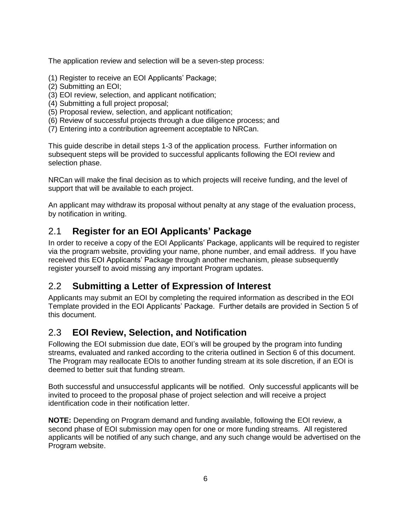The application review and selection will be a seven-step process:

- (1) Register to receive an EOI Applicants' Package;
- (2) Submitting an EOI;
- (3) EOI review, selection, and applicant notification;
- (4) Submitting a full project proposal;
- (5) Proposal review, selection, and applicant notification;
- (6) Review of successful projects through a due diligence process; and
- (7) Entering into a contribution agreement acceptable to NRCan.

This guide describe in detail steps 1-3 of the application process. Further information on subsequent steps will be provided to successful applicants following the EOI review and selection phase.

NRCan will make the final decision as to which projects will receive funding, and the level of support that will be available to each project.

An applicant may withdraw its proposal without penalty at any stage of the evaluation process, by notification in writing.

## <span id="page-5-0"></span>2.1 **Register for an EOI Applicants' Package**

In order to receive a copy of the EOI Applicants' Package, applicants will be required to register via the program website, providing your name, phone number, and email address. If you have received this EOI Applicants' Package through another mechanism, please subsequently register yourself to avoid missing any important Program updates.

#### <span id="page-5-1"></span>2.2 **Submitting a Letter of Expression of Interest**

Applicants may submit an EOI by completing the required information as described in the EOI Template provided in the EOI Applicants' Package. Further details are provided in Section [5](#page-13-0) of this document.

## <span id="page-5-2"></span>2.3 **EOI Review, Selection, and Notification**

Following the EOI submission due date, EOI's will be grouped by the program into funding streams, evaluated and ranked according to the criteria outlined in Section [6](#page-15-0) of this document. The Program may reallocate EOIs to another funding stream at its sole discretion, if an EOI is deemed to better suit that funding stream.

Both successful and unsuccessful applicants will be notified. Only successful applicants will be invited to proceed to the proposal phase of project selection and will receive a project identification code in their notification letter.

**NOTE:** Depending on Program demand and funding available, following the EOI review, a second phase of EOI submission may open for one or more funding streams. All registered applicants will be notified of any such change, and any such change would be advertised on the Program website.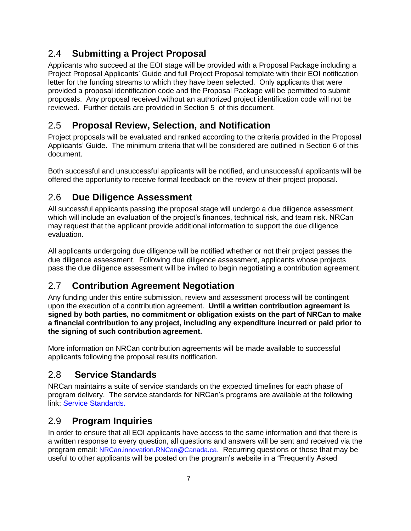## <span id="page-6-0"></span>2.4 **Submitting a Project Proposal**

Applicants who succeed at the EOI stage will be provided with a Proposal Package including a Project Proposal Applicants' Guide and full Project Proposal template with their EOI notification letter for the funding streams to which they have been selected. Only applicants that were provided a proposal identification code and the Proposal Package will be permitted to submit proposals. Any proposal received without an authorized project identification code will not be reviewed. Further details are provided in Section [5](#page-13-0) of this document.

## <span id="page-6-1"></span>2.5 **Proposal Review, Selection, and Notification**

Project proposals will be evaluated and ranked according to the criteria provided in the Proposal Applicants' Guide. The minimum criteria that will be considered are outlined in Section [6](#page-15-0) of this document.

Both successful and unsuccessful applicants will be notified, and unsuccessful applicants will be offered the opportunity to receive formal feedback on the review of their project proposal.

## <span id="page-6-2"></span>2.6 **Due Diligence Assessment**

All successful applicants passing the proposal stage will undergo a due diligence assessment, which will include an evaluation of the project's finances, technical risk, and team risk. NRCan may request that the applicant provide additional information to support the due diligence evaluation.

All applicants undergoing due diligence will be notified whether or not their project passes the due diligence assessment. Following due diligence assessment, applicants whose projects pass the due diligence assessment will be invited to begin negotiating a contribution agreement.

## <span id="page-6-3"></span>2.7 **Contribution Agreement Negotiation**

Any funding under this entire submission, review and assessment process will be contingent upon the execution of a contribution agreement. **Until a written contribution agreement is signed by both parties, no commitment or obligation exists on the part of NRCan to make a financial contribution to any project, including any expenditure incurred or paid prior to the signing of such contribution agreement.**

More information on NRCan contribution agreements will be made available to successful applicants following the proposal results notification*.*

## <span id="page-6-4"></span>2.8 **Service Standards**

NRCan maintains a suite of service standards on the expected timelines for each phase of program delivery. The service standards for NRCan's programs are available at the following link: [Service Standards.](http://www.nrcan.gc.ca/energy/funding/current-funding-programs/19054)

## <span id="page-6-5"></span>2.9 **Program Inquiries**

In order to ensure that all EOI applicants have access to the same information and that there is a written response to every question, all questions and answers will be sent and received via the program email: [NRCan.innovation.RNCan@Canada.ca](mailto:nrcan.innovation.rncan@canada.ca?subject=Next%20Generation%20Clean%20Energy%20Infrastructure:%20). Recurring questions or those that may be useful to other applicants will be posted on the program's website in a "Frequently Asked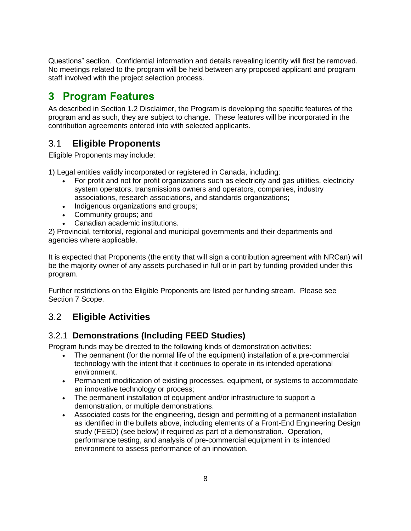Questions" section. Confidential information and details revealing identity will first be removed. No meetings related to the program will be held between any proposed applicant and program staff involved with the project selection process.

## <span id="page-7-0"></span>**3 Program Features**

As described in Section 1.2 Disclaimer, the Program is developing the specific features of the program and as such, they are subject to change. These features will be incorporated in the contribution agreements entered into with selected applicants.

## <span id="page-7-1"></span>3.1 **Eligible Proponents**

Eligible Proponents may include:

1) Legal entities validly incorporated or registered in Canada, including:

- For profit and not for profit organizations such as electricity and gas utilities, electricity system operators, transmissions owners and operators, companies, industry associations, research associations, and standards organizations;
- Indigenous organizations and groups;
- Community groups; and
- Canadian academic institutions.

2) Provincial, territorial, regional and municipal governments and their departments and agencies where applicable.

It is expected that Proponents (the entity that will sign a contribution agreement with NRCan) will be the majority owner of any assets purchased in full or in part by funding provided under this program.

Further restrictions on the Eligible Proponents are listed per funding stream. Please see Section 7 Scope.

## <span id="page-7-2"></span>3.2 **Eligible Activities**

#### 3.2.1 **Demonstrations (Including FEED Studies)**

Program funds may be directed to the following kinds of demonstration activities:

- The permanent (for the normal life of the equipment) installation of a pre-commercial technology with the intent that it continues to operate in its intended operational environment.
- Permanent modification of existing processes, equipment, or systems to accommodate an innovative technology or process;
- The permanent installation of equipment and/or infrastructure to support a demonstration, or multiple demonstrations.
- Associated costs for the engineering, design and permitting of a permanent installation as identified in the bullets above, including elements of a Front-End Engineering Design study (FEED) (see below) if required as part of a demonstration. Operation, performance testing, and analysis of pre-commercial equipment in its intended environment to assess performance of an innovation.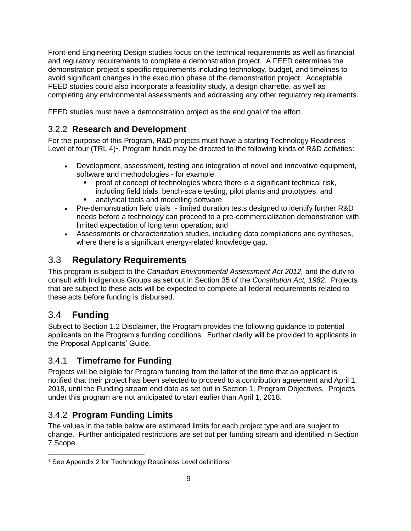Front-end Engineering Design studies focus on the technical requirements as well as financial and regulatory requirements to complete a demonstration project. A FEED determines the demonstration project's specific requirements including technology, budget, and timelines to avoid significant changes in the execution phase of the demonstration project. Acceptable FEED studies could also incorporate a feasibility study, a design charrette, as well as completing any environmental assessments and addressing any other regulatory requirements.

FEED studies must have a demonstration project as the end goal of the effort.

## 3.2.2 **Research and Development**

For the purpose of this Program, R&D projects must have a starting Technology Readiness Level of four (TRL 4)<sup>1</sup>. Program funds may be directed to the following kinds of R&D activities:

- Development, assessment, testing and integration of novel and innovative equipment, software and methodologies - for example:
	- proof of concept of technologies where there is a significant technical risk, including field trials, bench-scale testing, pilot plants and prototypes; and **EXEC** analytical tools and modelling software
- Pre-demonstration field trials limited duration tests designed to identify further R&D needs before a technology can proceed to a pre-commercialization demonstration with limited expectation of long term operation; and
- Assessments or characterization studies, including data compilations and syntheses, where there is a significant energy-related knowledge gap.

## <span id="page-8-0"></span>3.3 **Regulatory Requirements**

This program is subject to the *Canadian Environmental Assessment Act 2012,* and the duty to consult with Indigenous Groups as set out in Section 35 of the *Constitution Act, 1982.* Projects that are subject to these acts will be expected to complete all federal requirements related to these acts before funding is disbursed.

## <span id="page-8-1"></span>3.4 **Funding**

Subject to Section 1.2 Disclaimer, the Program provides the following guidance to potential applicants on the Program's funding conditions. Further clarity will be provided to applicants in the Proposal Applicants' Guide.

## 3.4.1 **Timeframe for Funding**

Projects will be eligible for Program funding from the latter of the time that an applicant is notified that their project has been selected to proceed to a contribution agreement and April 1, 2018, until the Funding stream end date as set out in Section 1, Program Objectives. Projects under this program are not anticipated to start earlier than April 1, 2018.

## 3.4.2 **Program Funding Limits**

The values in the table below are estimated limits for each project type and are subject to change. Further anticipated restrictions are set out per funding stream and identified in Section 7 Scope.

 $\overline{a}$ <sup>1</sup> See Appendix 2 for Technology Readiness Level definitions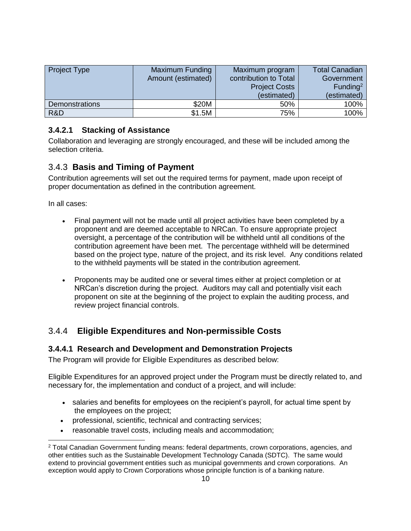| <b>Project Type</b>   | Maximum Funding<br>Amount (estimated) | Maximum program<br>contribution to Total<br><b>Project Costs</b><br>(estimated) | <b>Total Canadian</b><br>Government<br>Funding <sup>2</sup><br>(estimated) |
|-----------------------|---------------------------------------|---------------------------------------------------------------------------------|----------------------------------------------------------------------------|
| <b>Demonstrations</b> | \$20M                                 | 50%                                                                             | 100%                                                                       |
| R&D                   | \$1.5M                                | 75%                                                                             | 100%                                                                       |

#### **3.4.2.1 Stacking of Assistance**

Collaboration and leveraging are strongly encouraged, and these will be included among the selection criteria.

#### 3.4.3 **Basis and Timing of Payment**

Contribution agreements will set out the required terms for payment, made upon receipt of proper documentation as defined in the contribution agreement.

In all cases:

- Final payment will not be made until all project activities have been completed by a proponent and are deemed acceptable to NRCan. To ensure appropriate project oversight, a percentage of the contribution will be withheld until all conditions of the contribution agreement have been met. The percentage withheld will be determined based on the project type, nature of the project, and its risk level. Any conditions related to the withheld payments will be stated in the contribution agreement.
- Proponents may be audited one or several times either at project completion or at NRCan's discretion during the project. Auditors may call and potentially visit each proponent on site at the beginning of the project to explain the auditing process, and review project financial controls.

#### 3.4.4 **Eligible Expenditures and Non-permissible Costs**

#### **3.4.4.1 Research and Development and Demonstration Projects**

The Program will provide for Eligible Expenditures as described below:

Eligible Expenditures for an approved project under the Program must be directly related to, and necessary for, the implementation and conduct of a project, and will include:

- salaries and benefits for employees on the recipient's payroll, for actual time spent by the employees on the project;
- professional, scientific, technical and contracting services;
- reasonable travel costs, including meals and accommodation;

<sup>2</sup> Total Canadian Government funding means: federal departments, crown corporations, agencies, and other entities such as the Sustainable Development Technology Canada (SDTC). The same would extend to provincial government entities such as municipal governments and crown corporations. An exception would apply to Crown Corporations whose principle function is of a banking nature.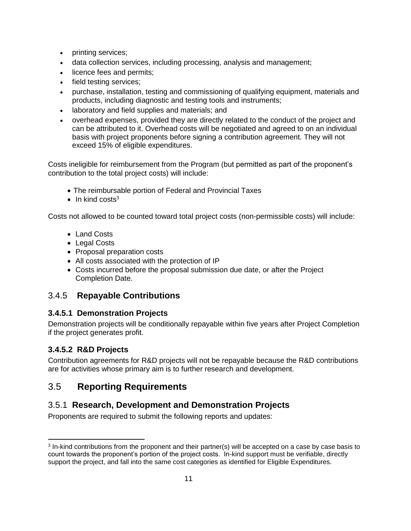- printing services;
- data collection services, including processing, analysis and management;
- licence fees and permits;
- field testing services;
- purchase, installation, testing and commissioning of qualifying equipment, materials and products, including diagnostic and testing tools and instruments;
- laboratory and field supplies and materials; and
- overhead expenses, provided they are directly related to the conduct of the project and can be attributed to it. Overhead costs will be negotiated and agreed to on an individual basis with project proponents before signing a contribution agreement. They will not exceed 15% of eligible expenditures.

Costs ineligible for reimbursement from the Program (but permitted as part of the proponent's contribution to the total project costs) will include:

- The reimbursable portion of Federal and Provincial Taxes
- $\bullet$  In kind costs<sup>3</sup>

Costs not allowed to be counted toward total project costs (non-permissible costs) will include:

- Land Costs
- Legal Costs
- Proposal preparation costs
- All costs associated with the protection of IP
- Costs incurred before the proposal submission due date, or after the Project Completion Date.

#### 3.4.5 **Repayable Contributions**

#### **3.4.5.1 Demonstration Projects**

Demonstration projects will be conditionally repayable within five years after Project Completion if the project generates profit.

#### **3.4.5.2 R&D Projects**

Contribution agreements for R&D projects will not be repayable because the R&D contributions are for activities whose primary aim is to further research and development.

## <span id="page-10-0"></span>3.5 **Reporting Requirements**

## 3.5.1 **Research, Development and Demonstration Projects**

Proponents are required to submit the following reports and updates:

<sup>&</sup>lt;sup>3</sup> In-kind contributions from the proponent and their partner(s) will be accepted on a case by case basis to count towards the proponent's portion of the project costs. In-kind support must be verifiable, directly support the project, and fall into the same cost categories as identified for Eligible Expenditures.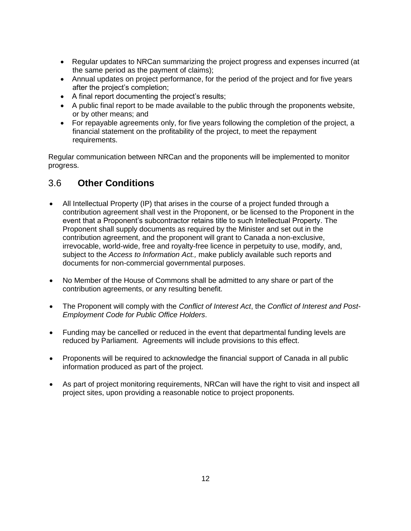- Regular updates to NRCan summarizing the project progress and expenses incurred (at the same period as the payment of claims);
- Annual updates on project performance, for the period of the project and for five years after the project's completion;
- A final report documenting the project's results;
- A public final report to be made available to the public through the proponents website, or by other means; and
- For repayable agreements only, for five years following the completion of the project, a financial statement on the profitability of the project, to meet the repayment requirements.

Regular communication between NRCan and the proponents will be implemented to monitor progress.

## <span id="page-11-0"></span>3.6 **Other Conditions**

- All Intellectual Property (IP) that arises in the course of a project funded through a contribution agreement shall vest in the Proponent, or be licensed to the Proponent in the event that a Proponent's subcontractor retains title to such Intellectual Property. The Proponent shall supply documents as required by the Minister and set out in the contribution agreement, and the proponent will grant to Canada a non-exclusive, irrevocable, world-wide, free and royalty-free licence in perpetuity to use, modify, and, subject to the *Access to Information Act.,* make publicly available such reports and documents for non-commercial governmental purposes.
- No Member of the House of Commons shall be admitted to any share or part of the contribution agreements, or any resulting benefit.
- The Proponent will comply with the *Conflict of Interest Act*, the *Conflict of Interest and Post-Employment Code for Public Office Holders*.
- Funding may be cancelled or reduced in the event that departmental funding levels are reduced by Parliament. Agreements will include provisions to this effect.
- Proponents will be required to acknowledge the financial support of Canada in all public information produced as part of the project.
- As part of project monitoring requirements, NRCan will have the right to visit and inspect all project sites, upon providing a reasonable notice to project proponents.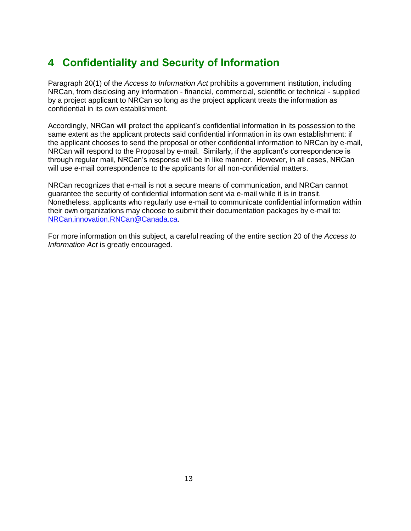## <span id="page-12-0"></span>**4 Confidentiality and Security of Information**

Paragraph 20(1) of the *Access to Information Act* prohibits a government institution, including NRCan, from disclosing any information - financial, commercial, scientific or technical - supplied by a project applicant to NRCan so long as the project applicant treats the information as confidential in its own establishment.

Accordingly, NRCan will protect the applicant's confidential information in its possession to the same extent as the applicant protects said confidential information in its own establishment: if the applicant chooses to send the proposal or other confidential information to NRCan by e-mail, NRCan will respond to the Proposal by e-mail. Similarly, if the applicant's correspondence is through regular mail, NRCan's response will be in like manner. However, in all cases, NRCan will use e-mail correspondence to the applicants for all non-confidential matters.

NRCan recognizes that e-mail is not a secure means of communication, and NRCan cannot guarantee the security of confidential information sent via e-mail while it is in transit. Nonetheless, applicants who regularly use e-mail to communicate confidential information within their own organizations may choose to submit their documentation packages by e-mail to: [NRCan.innovation.RNCan@Canada.ca.](mailto:NRCan.innovation.RNCan@Canada.ca)

For more information on this subject, a careful reading of the entire section 20 of the *Access to Information Act* is greatly encouraged.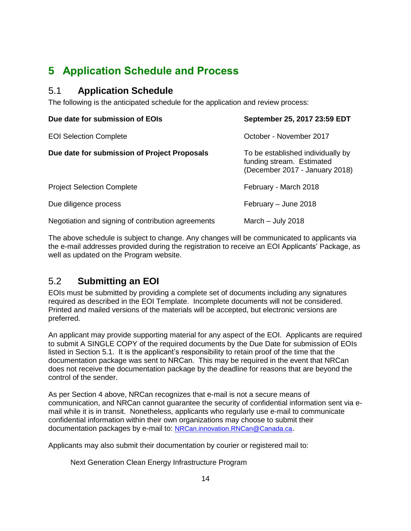## <span id="page-13-0"></span>**5 Application Schedule and Process**

#### <span id="page-13-1"></span>5.1 **Application Schedule**

The following is the anticipated schedule for the application and review process:

| Due date for submission of EOIs                    | September 25, 2017 23:59 EDT                                                                     |  |
|----------------------------------------------------|--------------------------------------------------------------------------------------------------|--|
| <b>EOI Selection Complete</b>                      | October - November 2017                                                                          |  |
| Due date for submission of Project Proposals       | To be established individually by<br>funding stream. Estimated<br>(December 2017 - January 2018) |  |
| <b>Project Selection Complete</b>                  | February - March 2018                                                                            |  |
| Due diligence process                              | February - June 2018                                                                             |  |
| Negotiation and signing of contribution agreements | March $-$ July 2018                                                                              |  |

The above schedule is subject to change. Any changes will be communicated to applicants via the e-mail addresses provided during the registration to receive an EOI Applicants' Package, as well as updated on the Program website.

## <span id="page-13-2"></span>5.2 **Submitting an EOI**

EOIs must be submitted by providing a complete set of documents including any signatures required as described in the EOI Template. Incomplete documents will not be considered. Printed and mailed versions of the materials will be accepted, but electronic versions are preferred.

An applicant may provide supporting material for any aspect of the EOI. Applicants are required to submit A SINGLE COPY of the required documents by the Due Date for submission of EOIs listed in Section 5.1. It is the applicant's responsibility to retain proof of the time that the documentation package was sent to NRCan. This may be required in the event that NRCan does not receive the documentation package by the deadline for reasons that are beyond the control of the sender.

As per Section [4](#page-12-0) above, NRCan recognizes that e-mail is not a secure means of communication, and NRCan cannot guarantee the security of confidential information sent via email while it is in transit. Nonetheless, applicants who regularly use e-mail to communicate confidential information within their own organizations may choose to submit their documentation packages by e-mail to: [NRCan.innovation.RNCan@Canada.ca](mailto:nrcan.innovation.rncan@canada.ca?subject=Next%20Generation%20Clean%20Energy%20Infrastructure:%20).

Applicants may also submit their documentation by courier or registered mail to:

Next Generation Clean Energy Infrastructure Program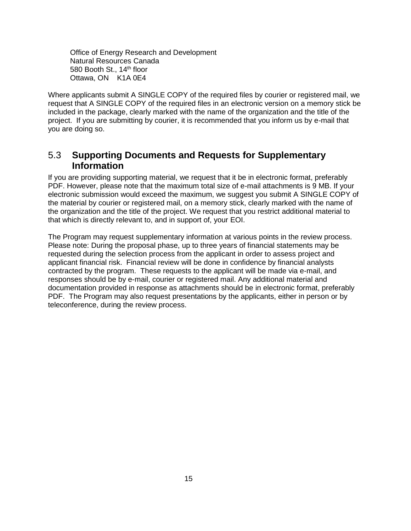Office of Energy Research and Development Natural Resources Canada 580 Booth St., 14<sup>th</sup> floor Ottawa, ON K1A 0E4

Where applicants submit A SINGLE COPY of the required files by courier or registered mail, we request that A SINGLE COPY of the required files in an electronic version on a memory stick be included in the package, clearly marked with the name of the organization and the title of the project. If you are submitting by courier, it is recommended that you inform us by e-mail that you are doing so.

#### <span id="page-14-0"></span>5.3 **Supporting Documents and Requests for Supplementary Information**

If you are providing supporting material, we request that it be in electronic format, preferably PDF. However, please note that the maximum total size of e-mail attachments is 9 MB. If your electronic submission would exceed the maximum, we suggest you submit A SINGLE COPY of the material by courier or registered mail, on a memory stick, clearly marked with the name of the organization and the title of the project. We request that you restrict additional material to that which is directly relevant to, and in support of, your EOI.

The Program may request supplementary information at various points in the review process. Please note: During the proposal phase, up to three years of financial statements may be requested during the selection process from the applicant in order to assess project and applicant financial risk. Financial review will be done in confidence by financial analysts contracted by the program. These requests to the applicant will be made via e-mail, and responses should be by e-mail, courier or registered mail. Any additional material and documentation provided in response as attachments should be in electronic format, preferably PDF. The Program may also request presentations by the applicants, either in person or by teleconference, during the review process.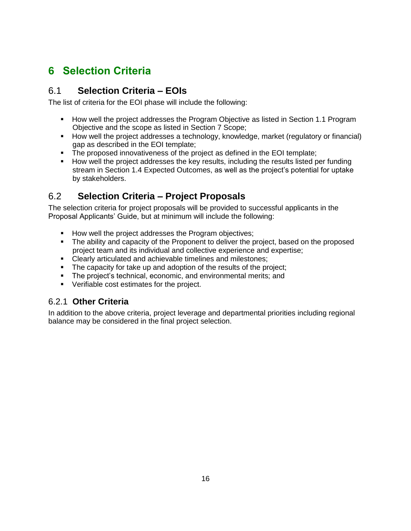## <span id="page-15-0"></span>**6 Selection Criteria**

#### <span id="page-15-1"></span>6.1 **Selection Criteria – EOIs**

The list of criteria for the EOI phase will include the following:

- **How well the project addresses the Program Objective as listed in Section 1.1 Program** Objective and the scope as listed in Section 7 Scope;
- How well the project addresses a technology, knowledge, market (regulatory or financial) gap as described in the EOI template;
- The proposed innovativeness of the project as defined in the EOI template;
- How well the project addresses the key results, including the results listed per funding stream in Section 1.4 Expected Outcomes, as well as the project's potential for uptake by stakeholders.

## <span id="page-15-2"></span>6.2 **Selection Criteria – Project Proposals**

The selection criteria for project proposals will be provided to successful applicants in the Proposal Applicants' Guide, but at minimum will include the following:

- **How well the project addresses the Program objectives:**
- The ability and capacity of the Proponent to deliver the project, based on the proposed project team and its individual and collective experience and expertise;
- Clearly articulated and achievable timelines and milestones;
- The capacity for take up and adoption of the results of the project;
- **The project's technical, economic, and environmental merits; and**
- **•** Verifiable cost estimates for the project.

#### 6.2.1 **Other Criteria**

In addition to the above criteria, project leverage and departmental priorities including regional balance may be considered in the final project selection.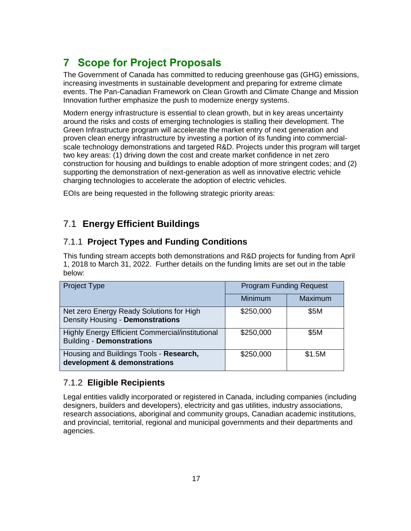## <span id="page-16-0"></span>**7 Scope for Project Proposals**

The Government of Canada has committed to reducing greenhouse gas (GHG) emissions, increasing investments in sustainable development and preparing for extreme climate events. The Pan-Canadian Framework on Clean Growth and Climate Change and Mission Innovation further emphasize the push to modernize energy systems.

Modern energy infrastructure is essential to clean growth, but in key areas uncertainty around the risks and costs of emerging technologies is stalling their development. The Green Infrastructure program will accelerate the market entry of next generation and proven clean energy infrastructure by investing a portion of its funding into commercialscale technology demonstrations and targeted R&D. Projects under this program will target two key areas: (1) driving down the cost and create market confidence in net zero construction for housing and buildings to enable adoption of more stringent codes; and (2) supporting the demonstration of next-generation as well as innovative electric vehicle charging technologies to accelerate the adoption of electric vehicles.

EOIs are being requested in the following strategic priority areas:

## <span id="page-16-1"></span>7.1 **Energy Efficient Buildings**

#### 7.1.1 **Project Types and Funding Conditions**

This funding stream accepts both demonstrations and R&D projects for funding from April 1, 2018 to March 31, 2022. Further details on the funding limits are set out in the table below:

| <b>Project Type</b>                                                                         | <b>Program Funding Request</b> |         |
|---------------------------------------------------------------------------------------------|--------------------------------|---------|
|                                                                                             | Minimum                        | Maximum |
| Net zero Energy Ready Solutions for High<br>Density Housing - Demonstrations                | \$250,000                      | \$5M    |
| <b>Highly Energy Efficient Commercial/institutional</b><br><b>Building - Demonstrations</b> | \$250,000                      | \$5M    |
| Housing and Buildings Tools - Research,<br>development & demonstrations                     | \$250,000                      | \$1.5M  |

#### 7.1.2 **Eligible Recipients**

Legal entities validly incorporated or registered in Canada, including companies (including designers, builders and developers), electricity and gas utilities, industry associations, research associations, aboriginal and community groups, Canadian academic institutions, and provincial, territorial, regional and municipal governments and their departments and agencies.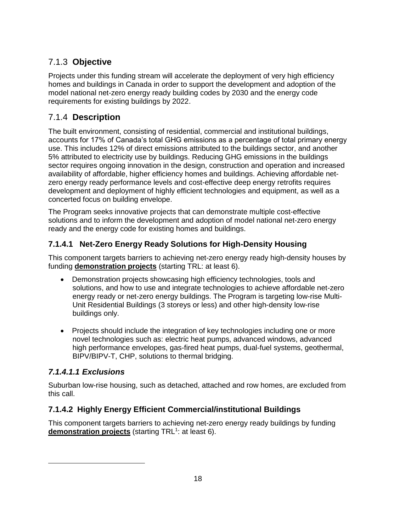## 7.1.3 **Objective**

Projects under this funding stream will accelerate the deployment of very high efficiency homes and buildings in Canada in order to support the development and adoption of the model national net-zero energy ready building codes by 2030 and the energy code requirements for existing buildings by 2022.

#### 7.1.4 **Description**

The built environment, consisting of residential, commercial and institutional buildings, accounts for 17% of Canada's total GHG emissions as a percentage of total primary energy use. This includes 12% of direct emissions attributed to the buildings sector, and another 5% attributed to electricity use by buildings. Reducing GHG emissions in the buildings sector requires ongoing innovation in the design, construction and operation and increased availability of affordable, higher efficiency homes and buildings. Achieving affordable netzero energy ready performance levels and cost-effective deep energy retrofits requires development and deployment of highly efficient technologies and equipment, as well as a concerted focus on building envelope.

The Program seeks innovative projects that can demonstrate multiple cost-effective solutions and to inform the development and adoption of model national net-zero energy ready and the energy code for existing homes and buildings.

#### **7.1.4.1 Net-Zero Energy Ready Solutions for High-Density Housing**

This component targets barriers to achieving net-zero energy ready high-density houses by funding **demonstration projects** (starting TRL: at least 6).

- Demonstration projects showcasing high efficiency technologies, tools and solutions, and how to use and integrate technologies to achieve affordable net-zero energy ready or net-zero energy buildings. The Program is targeting low-rise Multi-Unit Residential Buildings (3 storeys or less) and other high-density low-rise buildings only.
- Projects should include the integration of key technologies including one or more novel technologies such as: electric heat pumps, advanced windows, advanced high performance envelopes, gas-fired heat pumps, dual-fuel systems, geothermal, BIPV/BIPV-T, CHP, solutions to thermal bridging.

#### *7.1.4.1.1 Exclusions*

Suburban low-rise housing, such as detached, attached and row homes, are excluded from this call.

#### **7.1.4.2 Highly Energy Efficient Commercial/institutional Buildings**

This component targets barriers to achieving net-zero energy ready buildings by funding demonstration projects (starting TRL<sup>1</sup>: at least 6).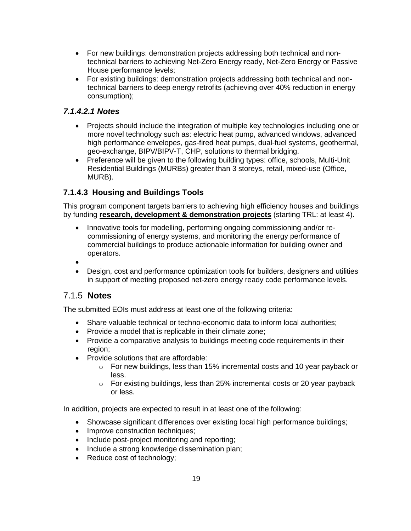- For new buildings: demonstration projects addressing both technical and nontechnical barriers to achieving Net-Zero Energy ready, Net-Zero Energy or Passive House performance levels;
- For existing buildings: demonstration projects addressing both technical and nontechnical barriers to deep energy retrofits (achieving over 40% reduction in energy consumption);

#### *7.1.4.2.1 Notes*

- Projects should include the integration of multiple key technologies including one or more novel technology such as: electric heat pump, advanced windows, advanced high performance envelopes, gas-fired heat pumps, dual-fuel systems, geothermal, geo-exchange, BIPV/BIPV-T, CHP, solutions to thermal bridging.
- Preference will be given to the following building types: office, schools, Multi-Unit Residential Buildings (MURBs) greater than 3 storeys, retail, mixed-use (Office, MURB).

#### **7.1.4.3 Housing and Buildings Tools**

This program component targets barriers to achieving high efficiency houses and buildings by funding **research, development & demonstration projects** (starting TRL: at least 4).

- Innovative tools for modelling, performing ongoing commissioning and/or recommissioning of energy systems, and monitoring the energy performance of commercial buildings to produce actionable information for building owner and operators.
- $\bullet$
- Design, cost and performance optimization tools for builders, designers and utilities in support of meeting proposed net-zero energy ready code performance levels.

#### 7.1.5 **Notes**

The submitted EOIs must address at least one of the following criteria:

- Share valuable technical or techno-economic data to inform local authorities;
- Provide a model that is replicable in their climate zone;
- Provide a comparative analysis to buildings meeting code requirements in their region;
- Provide solutions that are affordable:
	- $\circ$  For new buildings, less than 15% incremental costs and 10 year payback or less.
	- o For existing buildings, less than 25% incremental costs or 20 year payback or less.

In addition, projects are expected to result in at least one of the following:

- Showcase significant differences over existing local high performance buildings;
- Improve construction techniques;
- Include post-project monitoring and reporting;
- Include a strong knowledge dissemination plan;
- Reduce cost of technology;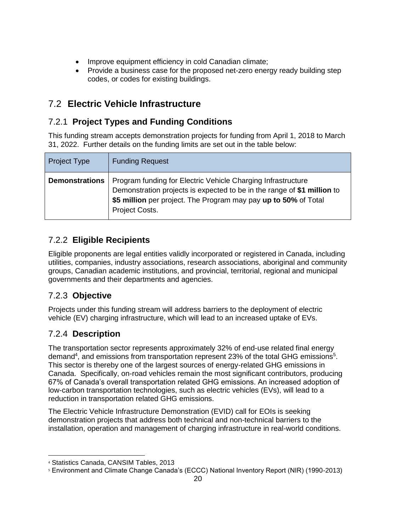- Improve equipment efficiency in cold Canadian climate;
- Provide a business case for the proposed net-zero energy ready building step codes, or codes for existing buildings.

## <span id="page-19-0"></span>7.2 **Electric Vehicle Infrastructure**

## 7.2.1 **Project Types and Funding Conditions**

This funding stream accepts demonstration projects for funding from April 1, 2018 to March 31, 2022. Further details on the funding limits are set out in the table below:

| Project Type          | <b>Funding Request</b>                                                                                                                                                                                                       |
|-----------------------|------------------------------------------------------------------------------------------------------------------------------------------------------------------------------------------------------------------------------|
| <b>Demonstrations</b> | Program funding for Electric Vehicle Charging Infrastructure<br>Demonstration projects is expected to be in the range of \$1 million to<br>\$5 million per project. The Program may pay up to 50% of Total<br>Project Costs. |

## 7.2.2 **Eligible Recipients**

Eligible proponents are legal entities validly incorporated or registered in Canada, including utilities, companies, industry associations, research associations, aboriginal and community groups, Canadian academic institutions, and provincial, territorial, regional and municipal governments and their departments and agencies.

#### 7.2.3 **Objective**

Projects under this funding stream will address barriers to the deployment of electric vehicle (EV) charging infrastructure, which will lead to an increased uptake of EVs.

## 7.2.4 **Description**

 $\overline{a}$ 

The transportation sector represents approximately 32% of end-use related final energy demand<sup>4</sup>, and emissions from transportation represent 23% of the total GHG emissions<sup>5</sup>. This sector is thereby one of the largest sources of energy-related GHG emissions in Canada. Specifically, on-road vehicles remain the most significant contributors, producing 67% of Canada's overall transportation related GHG emissions. An increased adoption of low-carbon transportation technologies, such as electric vehicles (EVs), will lead to a reduction in transportation related GHG emissions.

The Electric Vehicle Infrastructure Demonstration (EVID) call for EOIs is seeking demonstration projects that address both technical and non-technical barriers to the installation, operation and management of charging infrastructure in real-world conditions.

<sup>4</sup> Statistics Canada, CANSIM Tables, 2013

<sup>5</sup> Environment and Climate Change Canada's (ECCC) National Inventory Report (NIR) (1990-2013)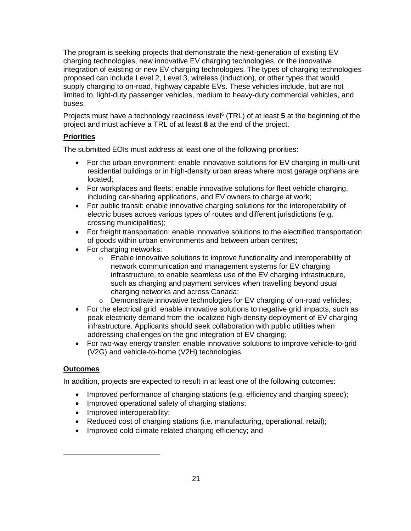The program is seeking projects that demonstrate the next-generation of existing EV charging technologies, new innovative EV charging technologies, or the innovative integration of existing or new EV charging technologies. The types of charging technologies proposed can include Level 2, Level 3, wireless (induction), or other types that would supply charging to on-road, highway capable EVs. These vehicles include, but are not limited to, light-duty passenger vehicles, medium to heavy-duty commercial vehicles, and buses.

Projects must have a technology readiness level<sup>6</sup> (TRL) of at least 5 at the beginning of the project and must achieve a TRL of at least **8** at the end of the project.

#### **Priorities**

The submitted EOIs must address at least one of the following priorities:

- For the urban environment: enable innovative solutions for EV charging in multi-unit residential buildings or in high-density urban areas where most garage orphans are located;
- For workplaces and fleets: enable innovative solutions for fleet vehicle charging, including car-sharing applications, and EV owners to charge at work;
- For public transit: enable innovative charging solutions for the interoperability of electric buses across various types of routes and different jurisdictions (e.g. crossing municipalities);
- For freight transportation: enable innovative solutions to the electrified transportation of goods within urban environments and between urban centres;
- For charging networks:
	- o Enable innovative solutions to improve functionality and interoperability of network communication and management systems for EV charging infrastructure, to enable seamless use of the EV charging infrastructure, such as charging and payment services when travelling beyond usual charging networks and across Canada;
	- $\circ$  Demonstrate innovative technologies for EV charging of on-road vehicles;
- For the electrical grid: enable innovative solutions to negative grid impacts, such as peak electricity demand from the localized high-density deployment of EV charging infrastructure. Applicants should seek collaboration with public utilities when addressing challenges on the grid integration of EV charging;
- For two-way energy transfer: enable innovative solutions to improve vehicle-to-grid (V2G) and vehicle-to-home (V2H) technologies.

#### **Outcomes**

 $\overline{a}$ 

In addition, projects are expected to result in at least one of the following outcomes:

- Improved performance of charging stations (e.g. efficiency and charging speed);
- Improved operational safety of charging stations;
- Improved interoperability;
- Reduced cost of charging stations (i.e. manufacturing, operational, retail);
- Improved cold climate related charging efficiency; and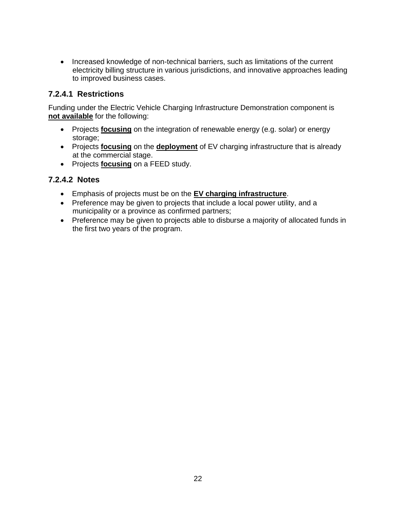• Increased knowledge of non-technical barriers, such as limitations of the current electricity billing structure in various jurisdictions, and innovative approaches leading to improved business cases.

#### **7.2.4.1 Restrictions**

Funding under the Electric Vehicle Charging Infrastructure Demonstration component is **not available** for the following:

- Projects **focusing** on the integration of renewable energy (e.g. solar) or energy storage;
- Projects **focusing** on the **deployment** of EV charging infrastructure that is already at the commercial stage.
- Projects **focusing** on a FEED study.

#### **7.2.4.2 Notes**

- Emphasis of projects must be on the **EV charging infrastructure**.
- Preference may be given to projects that include a local power utility, and a municipality or a province as confirmed partners;
- Preference may be given to projects able to disburse a majority of allocated funds in the first two years of the program.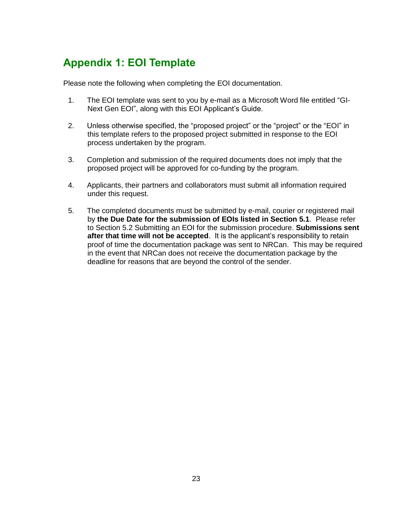## <span id="page-22-0"></span>**Appendix 1: EOI Template**

Please note the following when completing the EOI documentation.

- 1. The EOI template was sent to you by e-mail as a Microsoft Word file entitled "GI-Next Gen EOI", along with this EOI Applicant's Guide.
- 2. Unless otherwise specified, the "proposed project" or the "project" or the "EOI" in this template refers to the proposed project submitted in response to the EOI process undertaken by the program.
- 3. Completion and submission of the required documents does not imply that the proposed project will be approved for co-funding by the program.
- 4. Applicants, their partners and collaborators must submit all information required under this request.
- 5. The completed documents must be submitted by e-mail, courier or registered mail by **the Due Date for the submission of EOIs listed in Section 5.1**. Please refer to Section [5.2](#page-13-2) [Submitting an EOI](#page-13-2) for the submission procedure. **Submissions sent after that time will not be accepted**. It is the applicant's responsibility to retain proof of time the documentation package was sent to NRCan. This may be required in the event that NRCan does not receive the documentation package by the deadline for reasons that are beyond the control of the sender.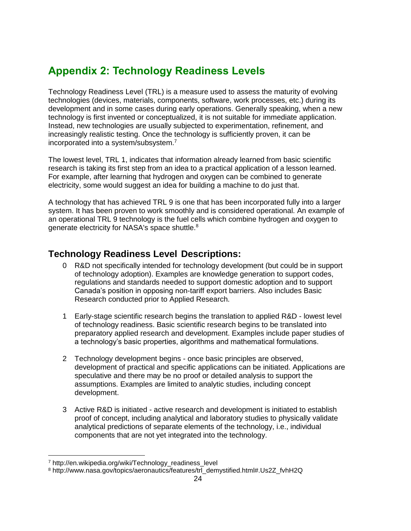## <span id="page-23-0"></span>**Appendix 2: Technology Readiness Levels**

Technology Readiness Level (TRL) is a measure used to assess the maturity of evolving technologies (devices, materials, components, software, work processes, etc.) during its development and in some cases during early operations. Generally speaking, when a new technology is first invented or conceptualized, it is not suitable for immediate application. Instead, new technologies are usually subjected to experimentation, refinement, and increasingly realistic testing. Once the technology is sufficiently proven, it can be incorporated into a system/subsystem.<sup>7</sup>

The lowest level, TRL 1, indicates that information already learned from basic scientific research is taking its first step from an idea to a practical application of a lesson learned. For example, after learning that hydrogen and oxygen can be combined to generate electricity, some would suggest an idea for building a machine to do just that.

A technology that has achieved TRL 9 is one that has been incorporated fully into a larger system. It has been proven to work smoothly and is considered operational. An example of an operational TRL 9 technology is the fuel cells which combine hydrogen and oxygen to generate electricity for NASA's space shuttle.<sup>8</sup>

## <span id="page-23-1"></span>**Technology Readiness Level Descriptions:**

- 0 R&D not specifically intended for technology development (but could be in support of technology adoption). Examples are knowledge generation to support codes, regulations and standards needed to support domestic adoption and to support Canada's position in opposing non-tariff export barriers. Also includes Basic Research conducted prior to Applied Research.
- 1 Early-stage scientific research begins the translation to applied R&D lowest level of technology readiness. Basic scientific research begins to be translated into preparatory applied research and development. Examples include paper studies of a technology's basic properties, algorithms and mathematical formulations.
- 2 Technology development begins once basic principles are observed, development of practical and specific applications can be initiated. Applications are speculative and there may be no proof or detailed analysis to support the assumptions. Examples are limited to analytic studies, including concept development.
- 3 Active R&D is initiated active research and development is initiated to establish proof of concept, including analytical and laboratory studies to physically validate analytical predictions of separate elements of the technology, i.e., individual components that are not yet integrated into the technology.

 $\overline{a}$ 

<sup>&</sup>lt;sup>7</sup> http://en.wikipedia.org/wiki/Technology\_readiness\_level

<sup>8</sup> http://www.nasa.gov/topics/aeronautics/features/trl\_demystified.html#.Us2Z\_fvhH2Q